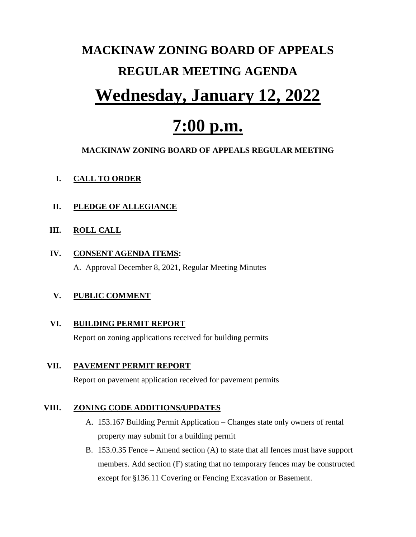# **MACKINAW ZONING BOARD OF APPEALS REGULAR MEETING AGENDA**

### **Wednesday, January 12, 2022**

## **7:00 p.m.**

#### **MACKINAW ZONING BOARD OF APPEALS REGULAR MEETING**

#### **I. CALL TO ORDER**

#### **II. PLEDGE OF ALLEGIANCE**

#### **III. ROLL CALL**

#### **IV. CONSENT AGENDA ITEMS:**

A. Approval December 8, 2021, Regular Meeting Minutes

#### **V. PUBLIC COMMENT**

#### **VI. BUILDING PERMIT REPORT**

Report on zoning applications received for building permits

#### **VII. PAVEMENT PERMIT REPORT**

Report on pavement application received for pavement permits

#### **VIII. ZONING CODE ADDITIONS/UPDATES**

- A. 153.167 Building Permit Application Changes state only owners of rental property may submit for a building permit
- B. 153.0.35 Fence Amend section (A) to state that all fences must have support members. Add section (F) stating that no temporary fences may be constructed except for §136.11 Covering or Fencing Excavation or Basement.